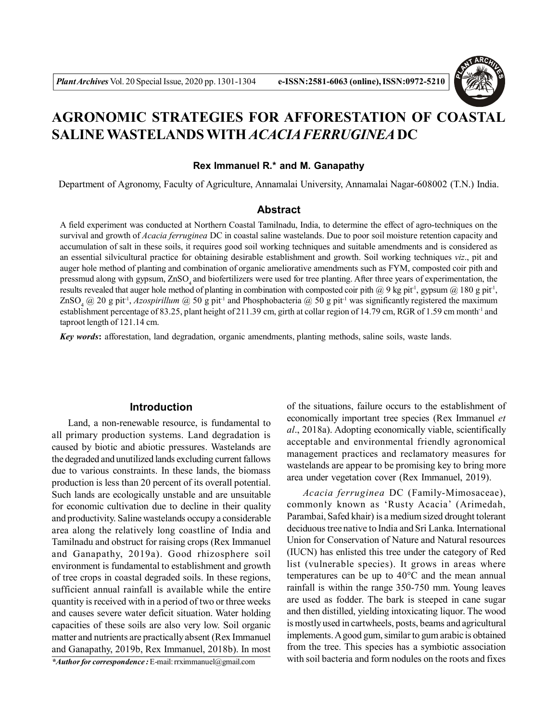

# **AGRONOMIC STRATEGIES FOR AFFORESTATION OF COASTAL SALINE WASTELANDS WITH** *ACACIA FERRUGINEA* **DC**

#### **Rex Immanuel R.\* and M. Ganapathy**

Department of Agronomy, Faculty of Agriculture, Annamalai University, Annamalai Nagar-608002 (T.N.) India.

## **Abstract**

A field experiment was conducted at Northern Coastal Tamilnadu, India, to determine the effect of agro-techniques on the survival and growth of *Acacia ferruginea* DC in coastal saline wastelands. Due to poor soil moisture retention capacity and accumulation of salt in these soils, it requires good soil working techniques and suitable amendments and is considered as an essential silvicultural practice for obtaining desirable establishment and growth. Soil working techniques *viz*., pit and auger hole method of planting and combination of organic ameliorative amendments such as FYM, composted coir pith and pressmud along with gypsum, ZnSO, and biofertilizers were used for tree planting. After three years of experimentation, the results revealed that auger hole method of planting in combination with composted coir pith @ 9 kg pit<sup>-1</sup>, gypsum @ 180 g pit<sup>-1</sup>, ZnSO<sub>4</sub> @ 20 g pit<sup>-1</sup>, *Azospirillum* @ 50 g pit<sup>-1</sup> and Phosphobacteria @ 50 g pit<sup>-1</sup> was significantly registered the maximum establishment percentage of 83.25, plant height of 211.39 cm, girth at collar region of 14.79 cm, RGR of 1.59 cm month<sup>-1</sup> and taproot length of 121.14 cm.

*Key words***:** afforestation, land degradation, organic amendments, planting methods, saline soils, waste lands.

#### **Introduction**

Land, a non-renewable resource, is fundamental to all primary production systems. Land degradation is caused by biotic and abiotic pressures. Wastelands are the degraded and unutilized lands excluding current fallows due to various constraints. In these lands, the biomass production is less than 20 percent of its overall potential. Such lands are ecologically unstable and are unsuitable for economic cultivation due to decline in their quality and productivity. Saline wastelands occupy a considerable area along the relatively long coastline of India and Tamilnadu and obstruct for raising crops (Rex Immanuel and Ganapathy, 2019a). Good rhizosphere soil environment is fundamental to establishment and growth of tree crops in coastal degraded soils. In these regions, sufficient annual rainfall is available while the entire quantity is received with in a period of two or three weeks and causes severe water deficit situation. Water holding capacities of these soils are also very low. Soil organic matter and nutrients are practically absent (Rex Immanuel and Ganapathy, 2019b, Rex Immanuel, 2018b). In most

*\*Author for correspondence :* E-mail: rrximmanuel@gmail.com

of the situations, failure occurs to the establishment of economically important tree species (Rex Immanuel *et al*., 2018a). Adopting economically viable, scientifically acceptable and environmental friendly agronomical management practices and reclamatory measures for wastelands are appear to be promising key to bring more area under vegetation cover (Rex Immanuel, 2019).

*Acacia ferruginea* DC (Family-Mimosaceae), commonly known as 'Rusty Acacia' (Arimedah, Parambai, Safed khair) is a medium sized drought tolerant deciduous tree native to India and Sri Lanka. International Union for Conservation of Nature and Natural resources (IUCN) has enlisted this tree under the category of Red list (vulnerable species). It grows in areas where temperatures can be up to 40°C and the mean annual rainfall is within the range 350-750 mm. Young leaves are used as fodder. The bark is steeped in cane sugar and then distilled, yielding intoxicating liquor. The wood is mostly used in cartwheels, posts, beams and agricultural implements. A good gum, similar to gum arabic is obtained from the tree. This species has a symbiotic association with soil bacteria and form nodules on the roots and fixes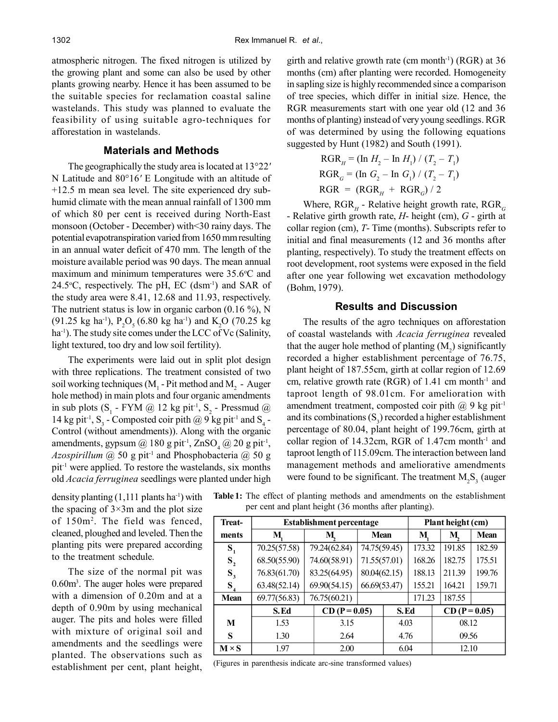atmospheric nitrogen. The fixed nitrogen is utilized by the growing plant and some can also be used by other plants growing nearby. Hence it has been assumed to be the suitable species for reclamation coastal saline wastelands. This study was planned to evaluate the feasibility of using suitable agro-techniques for afforestation in wastelands.

#### **Materials and Methods**

The geographically the study area is located at 13°22*'* N Latitude and 80°16*'* E Longitude with an altitude of +12.5 m mean sea level. The site experienced dry subhumid climate with the mean annual rainfall of 1300 mm of which 80 per cent is received during North-East monsoon (October - December) with<30 rainy days. The potential evapotranspiration varied from 1650 mm resulting in an annual water deficit of 470 mm. The length of the moisture available period was 90 days. The mean annual maximum and minimum temperatures were  $35.6^{\circ}$ C and 24.5 $\degree$ C, respectively. The pH, EC (dsm<sup>-1</sup>) and SAR of the study area were 8.41, 12.68 and 11.93, respectively. The nutrient status is low in organic carbon  $(0.16\%)$ , N (91.25 kg ha<sup>-1</sup>), P<sub>2</sub>O<sub>5</sub> (6.80 kg ha<sup>-1</sup>) and K<sub>2</sub>O (70.25 kg) ha<sup>-1</sup>). The study site comes under the LCC of Vc (Salinity, light textured, too dry and low soil fertility).

The experiments were laid out in split plot design with three replications. The treatment consisted of two soil working techniques ( $M<sub>1</sub>$  - Pit method and  $M<sub>2</sub>$  - Auger hole method) in main plots and four organic amendments in sub plots (S<sub>1</sub> - FYM @ 12 kg pit<sup>-1</sup>, S<sub>2</sub> - Pressmud @ 14 kg pit<sup>-1</sup>, S<sub>3</sub> - Composted coir pith @ 9 kg pit<sup>-1</sup> and S<sub>4</sub> -Control (without amendments)). Along with the organic amendments, gypsum  $@180$  g pit<sup>-1</sup>, ZnSO<sub>4</sub>  $@20$  g pit<sup>-1</sup>, *Azospirillum* @ 50 g pit-1 and Phosphobacteria @ 50 g pit-1 were applied. To restore the wastelands, six months old *Acacia ferruginea* seedlings were planted under high

density planting  $(1,111$  plants ha<sup>-1</sup>) with the spacing of  $3\times 3m$  and the plot size of 150m<sup>2</sup> . The field was fenced, cleaned, ploughed and leveled. Then the planting pits were prepared according to the treatment schedule.

The size of the normal pit was 0.60m<sup>3</sup> . The auger holes were prepared with a dimension of 0.20m and at a depth of 0.90m by using mechanical auger. The pits and holes were filled with mixture of original soil and amendments and the seedlings were planted. The observations such as establishment per cent, plant height, girth and relative growth rate (cm month<sup>-1</sup>) (RGR) at  $36$ months (cm) after planting were recorded. Homogeneity in sapling size is highly recommended since a comparison of tree species, which differ in initial size. Hence, the RGR measurements start with one year old (12 and 36 months of planting) instead of very young seedlings. RGR of was determined by using the following equations suggested by Hunt (1982) and South (1991).

$$
RGR_{H} = (\ln H_{2} - \ln H_{1}) / (T_{2} - T_{1})
$$
  
\n
$$
RGR_{G} = (\ln G_{2} - \ln G_{1}) / (T_{2} - T_{1})
$$
  
\n
$$
RGR = (RGR_{H} + RGR_{G}) / 2
$$

Where, RGR<sub>H</sub> - Relative height growth rate, RGR<sub>G</sub> - Relative girth growth rate, *H*- height (cm), *G* - girth at collar region (cm), *T*- Time (months). Subscripts refer to initial and final measurements (12 and 36 months after planting, respectively). To study the treatment effects on root development, root systems were exposed in the field after one year following wet excavation methodology (Bohm, 1979).

#### **Results and Discussion**

The results of the agro techniques on afforestation of coastal wastelands with *Acacia ferruginea* revealed that the auger hole method of planting  $(M_2)$  significantly recorded a higher establishment percentage of 76.75, plant height of 187.55cm, girth at collar region of 12.69 cm, relative growth rate (RGR) of  $1.41$  cm month<sup>-1</sup> and taproot length of 98.01cm. For amelioration with amendment treatment, composted coir pith  $(a)$  9 kg pit<sup>-1</sup> and its combinations  $(S_3)$  recorded a higher establishment percentage of 80.04, plant height of 199.76cm, girth at collar region of 14.32cm, RGR of 1.47cm month-1 and taproot length of 115.09cm. The interaction between land management methods and ameliorative amendments were found to be significant. The treatment  $M_2S_3$  (auger

**Table 1:** The effect of planting methods and amendments on the establishment per cent and plant height (36 months after planting).

| Treat-                      | Establishment percentage |      |                 |              |      | Plant height (cm) |                 |        |             |
|-----------------------------|--------------------------|------|-----------------|--------------|------|-------------------|-----------------|--------|-------------|
| ments                       | М                        | M,   |                 | <b>Mean</b>  |      | M                 |                 | M      | <b>Mean</b> |
| $S_{1}$                     | 70.25(57.58)             |      | 79.24(62.84)    | 74.75(59.45) |      | 173.32            |                 | 191.85 | 182.59      |
| $S_{2}$                     | 68.50(55.90)             |      | 74.60(58.91)    | 71.55(57.01) |      | 168.26            |                 | 182.75 | 175.51      |
| $S_{3}$                     | 76.83(61.70)             |      | 83.25(64.95)    | 80.04(62.15) |      | 188.13            |                 | 211.39 | 199.76      |
| $S_{\scriptscriptstyle{A}}$ | 63.48(52.14)             |      | 69.90(54.15)    | 66.69(53.47) |      | 155.21            |                 | 164.21 | 159.71      |
| <b>Mean</b>                 | 69.77(56.83)             |      | 76.75(60.21)    |              |      | 171.23            |                 | 187.55 |             |
|                             | S.Ed                     |      | $CD (P = 0.05)$ |              | S.Ed |                   | $CD (P = 0.05)$ |        |             |
| M                           | 1.53                     | 3.15 |                 |              | 4.03 |                   | 08.12           |        |             |
| S                           | 1.30                     | 2.64 |                 |              | 4.76 |                   | 09.56           |        |             |
| $M \times S$                | 1.97                     | 2.00 |                 |              | 6.04 |                   | 12.10           |        |             |

(Figures in parenthesis indicate arc-sine transformed values)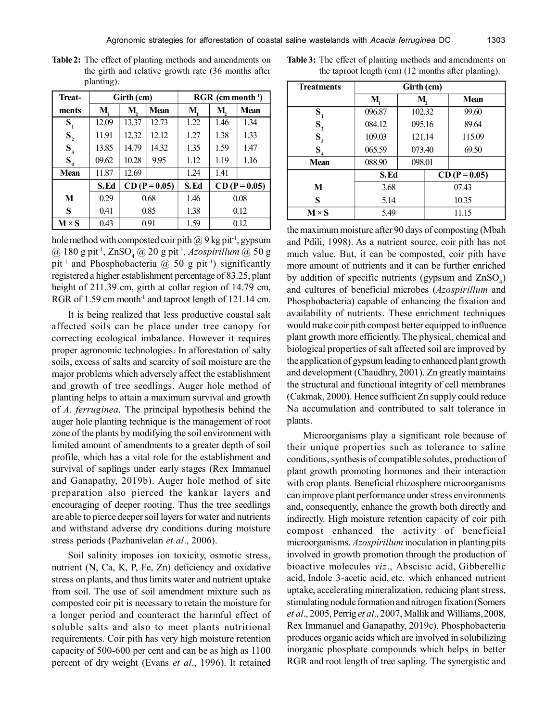| <b>Treat-</b>  |       | Girth (cm)      |       | $RGR$ (cm month <sup>-1</sup> ) |                 |             |  |
|----------------|-------|-----------------|-------|---------------------------------|-----------------|-------------|--|
| ments          | M     | M               | Mean  | M                               | M.              | <b>Mean</b> |  |
| $S_{1}$        | 12.09 | 13.37           | 12.73 | 1.22                            | 1.46            | 1.34        |  |
| $S_{2}$        | 11.91 | 12.32           | 12.12 | 1.27                            | 1.38            | 1.33        |  |
| $S_3$          | 13.85 | 14.79           | 14.32 | 1.35                            | 1.59            | 1.47        |  |
| S <sub>4</sub> | 09.62 | 10.28           | 9.95  | 1.12                            | 1.19            | 1.16        |  |
| <b>Mean</b>    | 11.87 | 12.69           |       | 1.24                            | 1.41            |             |  |
|                | S.Ed  | $CD (P = 0.05)$ |       | S.Ed                            | $CD (P = 0.05)$ |             |  |
| M              | 0.29  | 0.68            |       | 1.46                            | 0.08            |             |  |
| S              | 0.41  |                 | 0.85  | 1.38                            | 0.12            |             |  |
|                |       |                 |       |                                 |                 |             |  |

**Table 2:** The effect of planting methods and amendments on the girth and relative growth rate (36 months after planting).

hole method with composted coir pith  $@9$  kg pit<sup>-1</sup>, gypsum @ 180 g pit-1, ZnSO<sup>4</sup> @ 20 g pit-1 , *Azospirillum* @ 50 g pit<sup>-1</sup> and Phosphobacteria  $(a)$  50 g pit<sup>-1</sup>) significantly registered a higher establishment percentage of 83.25, plant height of 211.39 cm, girth at collar region of 14.79 cm, RGR of 1.59 cm month<sup>-1</sup> and taproot length of 121.14 cm.

**M**  $\times$  **S** | 0.43 | 0.91 | 1.59 | 0.12

It is being realized that less productive coastal salt affected soils can be place under tree canopy for correcting ecological imbalance. However it requires proper agronomic technologies. In afforestation of salty soils, excess of salts and scarcity of soil moisture are the major problems which adversely affect the establishment and growth of tree seedlings. Auger hole method of planting helps to attain a maximum survival and growth of *A*. *ferruginea.* The principal hypothesis behind the auger hole planting technique is the management of root zone of the plants by modifying the soil environment with limited amount of amendments to a greater depth of soil profile, which has a vital role for the establishment and survival of saplings under early stages (Rex Immanuel and Ganapathy, 2019b). Auger hole method of site preparation also pierced the kankar layers and encouraging of deeper rooting. Thus the tree seedlings are able to pierce deeper soil layers for water and nutrients and withstand adverse dry conditions during moisture stress periods (Pazhanivelan *et al*., 2006).

Soil salinity imposes ion toxicity, osmotic stress, nutrient (N, Ca, K, P, Fe, Zn) deficiency and oxidative stress on plants, and thus limits water and nutrient uptake from soil. The use of soil amendment mixture such as composted coir pit is necessary to retain the moisture for a longer period and counteract the harmful effect of soluble salts and also to meet plants nutritional requirements. Coir pith has very high moisture retention capacity of 500-600 per cent and can be as high as 1100 percent of dry weight (Evans *et al*., 1996). It retained

| <b>Table 3:</b> The effect of planting methods and amendments on |
|------------------------------------------------------------------|
| the taproot length (cm) (12 months after planting).              |

| <b>Treatments</b> | Girth (cm) |        |                 |        |  |  |
|-------------------|------------|--------|-----------------|--------|--|--|
|                   | М          | M      |                 | Mean   |  |  |
| $S_{1}$           | 096.87     | 102.32 |                 | 99.60  |  |  |
| $S_{\frac{1}{2}}$ | 084.12     | 095.16 |                 | 89.64  |  |  |
| $S_3$             | 109.03     | 121.14 |                 | 115.09 |  |  |
| $S_{4}$           | 065.59     | 073.40 |                 | 69.50  |  |  |
| <b>Mean</b>       | 088.90     | 098.01 |                 |        |  |  |
|                   | S.Ed       |        | $CD (P = 0.05)$ |        |  |  |
| M                 | 3.68       |        | 07.43           |        |  |  |
| S                 | 5.14       |        | 10.35           |        |  |  |
| $M \times S$      | 5.49       |        | 11.15           |        |  |  |

the maximum moisture after 90 days of composting (Mbah and Pdili, 1998). As a nutrient source, coir pith has not much value. But, it can be composted, coir pith have more amount of nutrients and it can be further enriched by addition of specific nutrients (gypsum and  $ZnSO_4$ ) and cultures of beneficial microbes (*Azospirillum* and Phosphobacteria) capable of enhancing the fixation and availability of nutrients. These enrichment techniques would make coir pith compost better equipped to influence plant growth more efficiently. The physical, chemical and biological properties of salt affected soil are improved by the application of gypsum leading to enhanced plant growth and development (Chaudhry, 2001). Zn greatly maintains the structural and functional integrity of cell membranes (Cakmak, 2000). Hence sufficient Zn supply could reduce Na accumulation and contributed to salt tolerance in plants.

Microorganisms play a significant role because of their unique properties such as tolerance to saline conditions, synthesis of compatible solutes, production of plant growth promoting hormones and their interaction with crop plants. Beneficial rhizosphere microorganisms can improve plant performance under stress environments and, consequently, enhance the growth both directly and indirectly. High moisture retention capacity of coir pith compost enhanced the activity of beneficial microorganisms. *Azospirillum* inoculation in planting pits involved in growth promotion through the production of bioactive molecules *viz*., Abscisic acid, Gibberellic acid, Indole 3-acetic acid, etc. which enhanced nutrient uptake, accelerating mineralization, reducing plant stress, stimulating nodule formation and nitrogen fixation (Somers *et al*., 2005, Perrig *et al*., 2007, Mallik and Williams,2008, Rex Immanuel and Ganapathy, 2019c). Phosphobacteria produces organic acids which are involved in solubilizing inorganic phosphate compounds which helps in better RGR and root length of tree sapling. The synergistic and